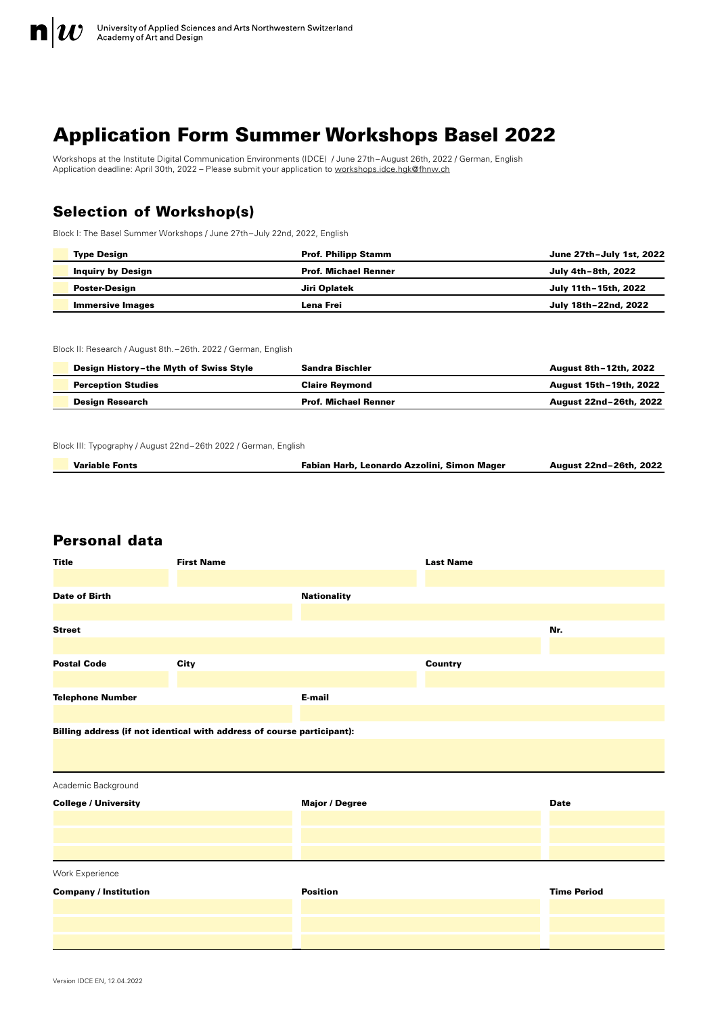

# Application Form Summer Workshops Basel 2022

Workshops at the Institute Digital Communication Environments (IDCE) / June 27th–August 26th, 2022 / German, English Application deadline: April 30th, 2022 – Please submit your application to [workshops.idce.hgk@fhnw.ch](mailto:workshops.idce.hgk%40fhnw.ch?subject=)

# Selection of Workshop(s)

Block I: The Basel Summer Workshops / June 27th–July 22nd, 2022, English

| <b>Type Design</b>       | <b>Prof. Philipp Stamm</b>  | June 27th-July 1st, 2022 |
|--------------------------|-----------------------------|--------------------------|
| <b>Inquiry by Design</b> | <b>Prof. Michael Renner</b> | July 4th-8th, 2022       |
| Poster-Design            | Jiri Oplatek                | July 11th-15th, 2022     |
| <b>Immersive Images</b>  | Lena Frei                   | July 18th-22nd, 2022     |

Block II: Research / August 8th. –26th. 2022 / German, English

| Design History-the Myth of Swiss Style | Sandra Bischler             | August 8th-12th, 2022  |
|----------------------------------------|-----------------------------|------------------------|
| <b>Perception Studies</b>              | <b>Claire Revmond</b>       | August 15th-19th, 2022 |
| <b>Design Research</b>                 | <b>Prof. Michael Renner</b> | August 22nd-26th, 2022 |

Block III: Typography / August 22nd–26th 2022 / German, English

| <b>Variable Fonts</b> | Fabian Harb, Leonardo Azzolini, Simon Mager | August 22nd-26th, 2022 |
|-----------------------|---------------------------------------------|------------------------|
|                       |                                             |                        |

# Personal data

Ļ

| <b>Title</b>                                                           | <b>First Name</b> |                       | <b>Last Name</b> |                    |
|------------------------------------------------------------------------|-------------------|-----------------------|------------------|--------------------|
| <b>Date of Birth</b>                                                   |                   | <b>Nationality</b>    |                  |                    |
| <b>Street</b>                                                          |                   |                       |                  | Nr.                |
| <b>Postal Code</b>                                                     | City              |                       | Country          |                    |
| <b>Telephone Number</b>                                                |                   | E-mail                |                  |                    |
| Billing address (if not identical with address of course participant): |                   |                       |                  |                    |
| Academic Background                                                    |                   |                       |                  |                    |
| <b>College / University</b>                                            |                   | <b>Major / Degree</b> |                  | <b>Date</b>        |
|                                                                        |                   |                       |                  |                    |
| Work Experience                                                        |                   |                       |                  |                    |
| <b>Company / Institution</b>                                           |                   | <b>Position</b>       |                  | <b>Time Period</b> |
|                                                                        |                   |                       |                  |                    |
|                                                                        |                   |                       |                  |                    |
|                                                                        |                   |                       |                  |                    |